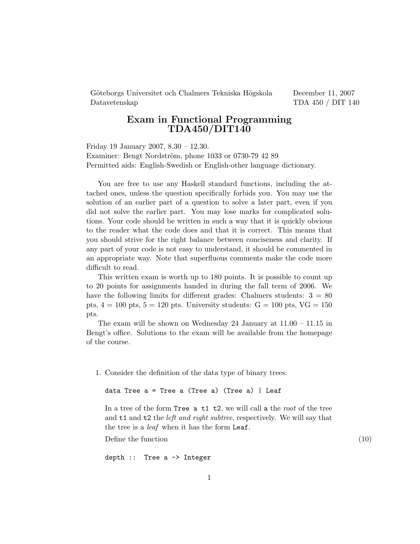Göteborgs Universitet och Chalmers Tekniska Högskola December 11, 2007 Datavetenskap TDA 450 / DIT 140

## Exam in Functional Programming  $\mathrm{TDA450} / \mathrm{DIT140}$

Friday 19 January 2007, 8.30 – 12.30. Examiner: Bengt Nordström, phone 1033 or 0730-79 42 89 Permitted aids: English-Swedish or English-other language dictionary.

You are free to use any Haskell standard functions, including the attached ones, unless the question specifically forbids you. You may use the solution of an earlier part of a question to solve a later part, even if you did not solve the earlier part. You may lose marks for complicated solutions. Your code should be written in such a way that it is quickly obvious to the reader what the code does and that it is correct. This means that you should strive for the right balance between conciseness and clarity. If any part of your code is not easy to understand, it should be commented in an appropriate way. Note that superfluous comments make the code more difficult to read.

This written exam is worth up to 180 points. It is possible to count up to 20 points for assignments handed in during the fall term of 2006. We have the following limits for different grades: Chalmers students:  $3 = 80$ pts,  $4 = 100$  pts,  $5 = 120$  pts. University students:  $G = 100$  pts,  $VG = 150$ pts.

The exam will be shown on Wednesday 24 January at 11.00 – 11.15 in Bengt's office. Solutions to the exam will be available from the homepage of the course.

1. Consider the definition of the data type of binary trees:

data Tree  $a =$  Tree a (Tree a) (Tree a) | Leaf

In a tree of the form Tree  $a$  t1 t2, we will call a the root of the tree and t1 and t2 the *left and right subtree*, respectively. We will say that the tree is a *leaf* when it has the form Leaf.

Define the function  $(10)$ 

depth :: Tree a -> Integer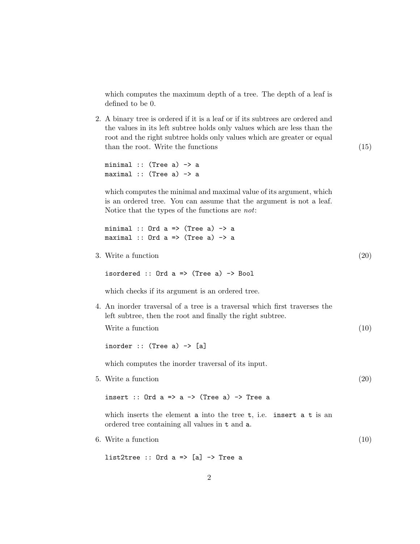which computes the maximum depth of a tree. The depth of a leaf is defined to be 0.

2. A binary tree is ordered if it is a leaf or if its subtrees are ordered and the values in its left subtree holds only values which are less than the root and the right subtree holds only values which are greater or equal than the root. Write the functions (15) (15)

minimal  $::$  (Tree a)  $\rightarrow$  a  $maximal :: (Tree a) \rightarrow a$ 

which computes the minimal and maximal value of its argument, which is an ordered tree. You can assume that the argument is not a leaf. Notice that the types of the functions are not:

```
minimal :: Ord a \Rightarrow (Tree a) \Rightarrow amaximal :: Ord a \Rightarrow (Tree a) \rightarrow a
```
3. Write a function  $(20)$ 

isordered  $::$  Ord a => (Tree a) -> Bool

which checks if its argument is an ordered tree.

4. An inorder traversal of a tree is a traversal which first traverses the left subtree, then the root and finally the right subtree. Write a function (10)

inorder  $::$  (Tree a)  $\rightarrow$  [a]

which computes the inorder traversal of its input.

5. Write a function (20)

insert :: Ord  $a \Rightarrow a \Rightarrow$  (Tree  $a$ )  $\Rightarrow$  Tree a

which inserts the element a into the tree  $t$ , i.e. insert a  $t$  is an ordered tree containing all values in t and a.

6. Write a function  $(10)$ 

list2tree  $::$  Ord a => [a] -> Tree a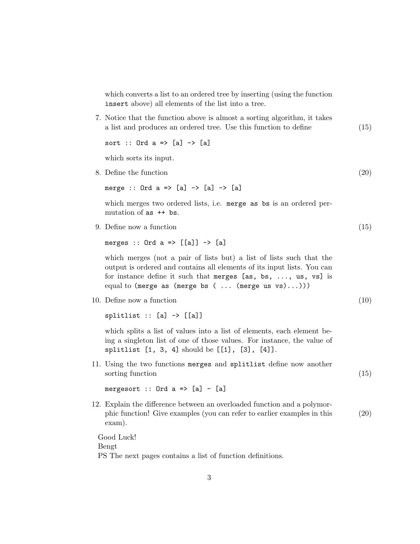which converts a list to an ordered tree by inserting (using the function insert above) all elements of the list into a tree.

7. Notice that the function above is almost a sorting algorithm, it takes a list and produces an ordered tree. Use this function to define (15)

sort :: Ord a => [a] -> [a]

which sorts its input.

8. Define the function (20)

merge :: Ord  $a \Rightarrow [a] \rightarrow [a] \Rightarrow [a]$ 

which merges two ordered lists, i.e. merge as bs is an ordered permutation of as ++ bs.

9. Define now a function (15)

merges :: Ord  $a \Rightarrow [[a]] \rightarrow [a]$ 

which merges (not a pair of lists but) a list of lists such that the output is ordered and contains all elements of its input lists. You can for instance define it such that merges [as, bs, ..., us, vs] is equal to (merge as (merge bs  $( \ldots (merge us vs) \ldots)))$ 

10. Define now a function (10)

 $splitlist :: [a] \rightarrow [[a]]$ 

which splits a list of values into a list of elements, each element being a singleton list of one of those values. For instance, the value of splitlist [1, 3, 4] should be [[1], [3], [4]].

11. Using the two functions merges and splitlist define now another sorting function (15) (15)

mergesort  $::$  Ord  $a$  =>  $[a]$  -  $[a]$ 

12. Explain the difference between an overloaded function and a polymorphic function! Give examples (you can refer to earlier examples in this (20) exam).

Good Luck! Bengt PS The next pages contains a list of function definitions.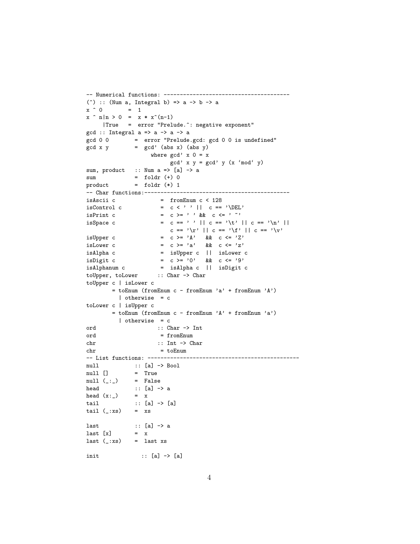```
-- Numerical functions: ---------------------------------------
(\hat{ }) :: (Num a, Integral b) => a -> b -> a
x \uparrow 0 = 1
x \cap n|n > 0 = x * x^(n-1)|True = error "Prelude.^: negative exponent"
gcd :: Integral a \Rightarrow a \Rightarrow a \Rightarrow agcd 0 0 = error "Prelude.gcd: gcd 0 0 is undefined"
gcd x y = gcd' (abs x) (abs y)where gcd' x 0 = x
                           gcd' x y = gcd' y (x \text{ 'mod' } y)sum, product :: Num a \Rightarrow [a] \rightarrow asum = foldr (+) 0
product = foldr (*) 1-- Char functions:---------------------------------------------
isAscii c = fromEnum c < 128<br>isControl c = c < '' || c ==
\begin{array}{lllll} \text{isControl c} & = & c \iff' & || & c == \text{'\text{DEL'}}\\ \text{isPrint c} & = & c \iff' & \& & c \iff' & \text{`} \end{array}= c > = ' ' && c < = ' ' 'isSpace c = c == ' ' || c == '\t' || c == '\n' ||
                           c == '\r' || c == '\f' || c == '\v'
isUpper c = c >= 'A' && c <= 'Z'
is<br>Lower c = c >= 'a' && c <= 'z'
isAlpha c = isUpper c || isLower c
isDigit c = c >= '0' && c <= '9'
isAlphanum c = isAlpha c || isDigit c
toUpper, toLower :: Char -> Char
toUpper c | isLower c
        \quad \  \  \, = \; \texttt{toEnum} \; \; (\texttt{fromEnum} \; \; c \; - \; \texttt{fromEnum} \; \; 'a' \; + \; \texttt{fromEnum} \; \; 'A')| otherwise = c
toLower c | isUpper c
        = toEnum (fromEnum c - fromEnum 'A' + fromEnum 'a')
           | otherwise = c
ord :: Char -> Int
ord = fromEnum
chr :: Int -> Char
chr = toEnum
-- List functions: -----------------------------------------------
null :: [a] -> Bool
null [] = True<br>null (\_ : \_ ) = False
null (\_:\_)\begin{array}{lll} \text{head} & \text{::} & \text{[a]} \; \mathop{\rightarrow} \; \text{a} \\ \text{head} & \text{(x:-)} & = & \text{x} \end{array}head (x:-)tail :: [a] -> [a]
tail (\_:xs) = xs
last \qquad :: [a] \rightarrow a
last [x] = xlast (\_:xs) = last xs
init :: [a] -> [a]
```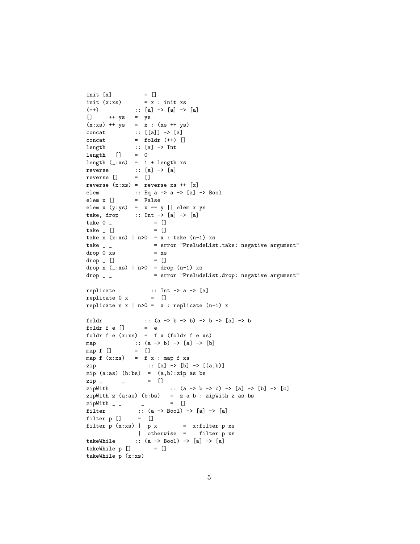```
init [x] = []
init (x:xs) = x : init xs(++) :: [a] -> [a] -> [a]
[] ++ ys = ys
(x:xs) + + ys = x : (xs + ys)concat :: [[a]] -> [a]
concat = foldr (++) []length :: [a] \rightarrow Int<br>length [] = 0length []length (\_:xs) = 1 + length xsreverse :: [a] -> [a]
reverse [] = []
reverse (x:xs) = reverse xs ++ [x]elem :: Eq a => a -> [a] -> Bool
elem x [] = False
elem x (y:ys) = x == y || elem x ystake, drop :: Int \rightarrow [a] \rightarrow [a]
take 0 \qquad = []
\text{take} \Box = \Boxtake n (x:xs) | n>0 = x : take (n-1) xs
take _ _ = error "PreludeList.take: negative argument"
drop 0 xs = xs<br>drop \begin{bmatrix} 0 & 0 \\ 0 & 1 \end{bmatrix} = \begin{bmatrix} 0 & 0 \\ 0 & 1 \end{bmatrix}drop - []drop n (\_:xs) | n>0 = drop (n-1) xs
drop _ _ = error "PreludeList.drop: negative argument"
\texttt{replicate} \qquad \qquad \texttt{::} \ \ \texttt{Int} \ \texttt{-&} \ \ \texttt{a} \ \texttt{-&} \ \ \texttt{[a]}replicate 0 x = []replicate n x | n>0 = x : replicate (n-1) x
foldr :: (a \rightarrow b \rightarrow b) \rightarrow b \rightarrow [a] \rightarrow bfoldr f e [] = efoldr f e (x:xs) = f x (foldr f e xs)
map :: (a \rightarrow b) \rightarrow [a] \rightarrow [b]<br>map f [] = []
map f []map f(x:xs) = f(x : map f xs)zip :: [a] -> [b] -> [(a,b)]
zip (a:as) (b:bs) = (a,b):zip as bs
zip _ _ = []
zipWith :: (a -> b -> c) -> [a] -> [b] -> [c]
zipWith z (a:as) (b:bs) = z a b : zipWith z as bs<br>
zipWith _ _ _ _ _ = []
zipWith - -filter :: (a \rightarrow Bool) \rightarrow [a] \rightarrow [a]filter p [] = []filter p(x:xs) | p(x) = x:filter pxs
                | otherwise = filter p xs
takeWhile :: (a \rightarrow Boo1) \rightarrow [a] \rightarrow [a]takeWhile p [] = []takeWhile p (x:xs)
```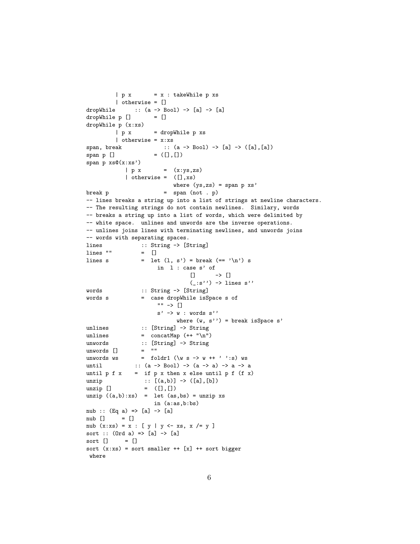```
| p x = x : takeWhile p xs| otherwise = []
dropWhile :: (a \rightarrow Bool) \rightarrow [a] \rightarrow [a]dropWhile p [] = []
dropWhile p (x:xs)
         | p x = dropWhile p xs
         | otherwise = x:xs
span, break :: (a -> Bool) -> [a] -> ([a],[a])
\verb|span p []\verb|| = ([] , [])span p xs@(x:xs')
            | p x = (x:ys, zs)| otherwise = ([], xs)where (ys,zs) = span p xs'
\begin{array}{lcl} \texttt{break} & \texttt{p} & = & \texttt{span} \ (\texttt{not} \ . \ \texttt{p}) \end{array}-- lines breaks a string up into a list of strings at newline characters.
-- The resulting strings do not contain newlines. Similary, words
-- breaks a string up into a list of words, which were delimited by
-- white space. unlines and unwords are the inverse operations.
-- unlines joins lines with terminating newlines, and unwords joins
-- words with separating spaces.
lines :: String -> [String]
lines "" = []
lines s = let (1, s') = break (== '\n') sin l : case s' of
                                  [] \rightarrow []
                                  (\_:\!s'') \rightarrow lines s''
words :: String -> [String]
words s = case dropWhile isSpace s of
                       "" -> []
                       s' \rightarrow w : words s''
                             where (w, s'') = break isSpace s'
unlines :: [String] -> String
unlines = concatMap (+ "\n\frac{n}{)}unwords :: [String] \rightarrow String<br>unwords [] = ""unwords []
unwords ws = foldr1 (\wedge \wedge s \rightarrow w +' ' : s) ws
until :: (a \rightarrow Boo1) \rightarrow (a \rightarrow a) \rightarrow a \rightarrow auntil p f x = if p x then x else until p f (f x)unzip :: [(a,b)] \rightarrow ([a], [b])unzip [] = ([], []unzip ((a,b):xs) = let (as,bs) = unzip xsin (a:as,b:bs)
nub :: (Eq a) \Rightarrow [a] \Rightarrow [a]nub [] = []
nub (x:xs) = x : [y | y \leftarrow xs, x \neq y]sort :: (Ord a) \Rightarrow [a] \Rightarrow [a]sort [] = []
sort (x:xs) = sort smaller ++ [x] ++ sort bigger
 where
```